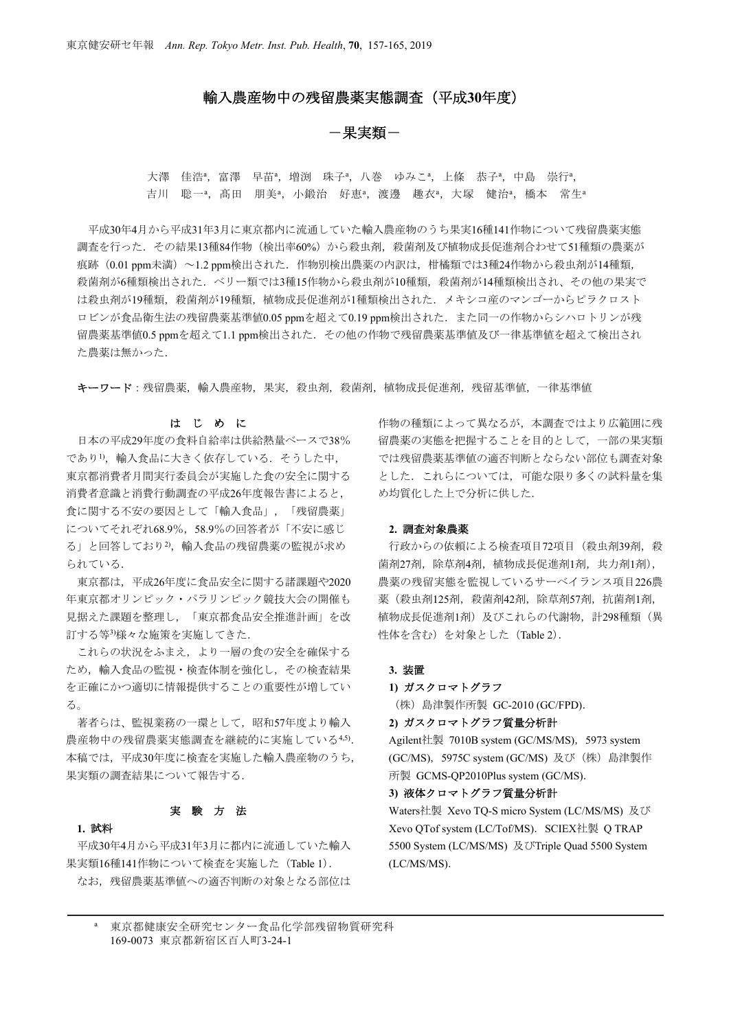## 輸入農産物中の残留農薬実態調査(平成**30**年度)

# -果実類-

大澤 佳浩<sup>a</sup>, 富澤 早苗<sup>a</sup>, 増渕 珠子<sup>a</sup>, 八巻 ゆみこ<sup>a</sup>, 上條 恭子<sup>a</sup>, 中島 崇行<sup>a</sup>, 吉川 聡一ª,髙田 朋美ª,小鍛治 好恵ª,渡邊 趣衣ª,大塚 健治ª,橋本 常生ª

平成30年4月から平成31年3月に東京都内に流通していた輸入農産物のうち果実16種141作物について残留農薬実態 調査を行った.その結果13種84作物(検出率60%)から殺虫剤,殺菌剤及び植物成長促進剤合わせて51種類の農薬が 痕跡 (0.01 ppm未満) ~1.2 ppm検出された. 作物別検出農薬の内訳は、柑橘類では3種24作物から殺虫剤が14種類, 殺菌剤が6種類検出された.ベリー類では3種15作物から殺虫剤が10種類,殺菌剤が14種類検出され、その他の果実で は殺虫剤が19種類,殺菌剤が19種類,植物成長促進剤が1種類検出された. メキシコ産のマンゴーからピラクロスト ロビンが食品衛生法の残留農薬基準値0.05 ppmを超えて0.19 ppm検出された. また同一の作物からシハロトリンが残 留農薬基準値0.5 ppmを超えて1.1 ppm検出された.その他の作物で残留農薬基準値及び一律基準値を超えて検出され た農薬は無かった.

キーワード:残留農薬,輸入農産物,果実,殺虫剤,殺菌剤,植物成長促進剤,残留基準値,一律基準値

### はじめに

日本の平成29年度の食料自給率は供給熱量ベースで38% であり1),輸入食品に大きく依存している. そうした中, 東京都消費者月間実行委員会が実施した食の安全に関する 消費者意識と消費行動調査の平成26年度報告書によると, 食に関する不安の要因として「輸入食品」,「残留農薬」 についてそれぞれ68.9%,58.9%の回答者が「不安に感じ る」と回答しており2),輸入食品の残留農薬の監視が求め られている.

東京都は,平成26年度に食品安全に関する諸課題や2020 年東京都オリンピック・パラリンピック競技大会の開催も 見据えた課題を整理し,「東京都食品安全推進計画」を改 訂する等3)様々な施策を実施してきた.

これらの状況をふまえ,より一層の食の安全を確保する ため,輸入食品の監視・検査体制を強化し,その検査結果 を正確にかつ適切に情報提供することの重要性が増してい る。

著者らは、監視業務の一環として,昭和57年度より輸入 農産物中の残留農薬実態調査を継続的に実施している4,5). 本稿では,平成30年度に検査を実施した輸入農産物のうち, 果実類の調査結果について報告する.

## 実験方法

### **1.** 試料

平成30年4月から平成31年3月に都内に流通していた輸入 果実類16種141作物について検査を実施した(Table 1). なお,残留農薬基準値への適否判断の対象となる部位は 作物の種類によって異なるが,本調査ではより広範囲に残 留農薬の実態を把握することを目的として,一部の果実類 では残留農薬基準値の適否判断とならない部位も調査対象 とした.これらについては,可能な限り多くの試料量を集 め均質化した上で分析に供した.

#### **2.** 調査対象農薬

行政からの依頼による検査項目72項目 (殺电剤39剤, 殺 菌剤27剤,除草剤4剤,植物成長促進剤1剤,共力剤1剤), 農薬の残留実態を監視しているサーベイランス項目226農 薬(殺虫剤125剤,殺菌剤42剤,除草剤57剤,抗菌剤1剤, 植物成長促進剤1剤)及びこれらの代謝物,計298種類(異 性体を含む)を対象とした(Table 2).

### **3.** 装置

**1)** ガスクロマトグラフ

(株)島津製作所製 GC-2010 (GC/FPD).

### **2)** ガスクロマトグラフ質量分析計

Agilent社製 7010B system (GC/MS/MS), 5973 system (GC/MS),5975C system (GC/MS) 及び(株)島津製作 所製 GCMS-QP2010Plus system (GC/MS).

#### **3)** 液体クロマトグラフ質量分析計

Waters社製 Xevo TQ-S micro System (LC/MS/MS) 及び Xevo QTof system (LC/Tof/MS). SCIEX社製 Q TRAP 5500 System (LC/MS/MS) 及びTriple Quad 5500 System (LC/MS/MS).

<sup>a</sup>東京都健康安全研究センター食品化学部残留物質研究科 169-0073 東京都新宿区百人町3-24-1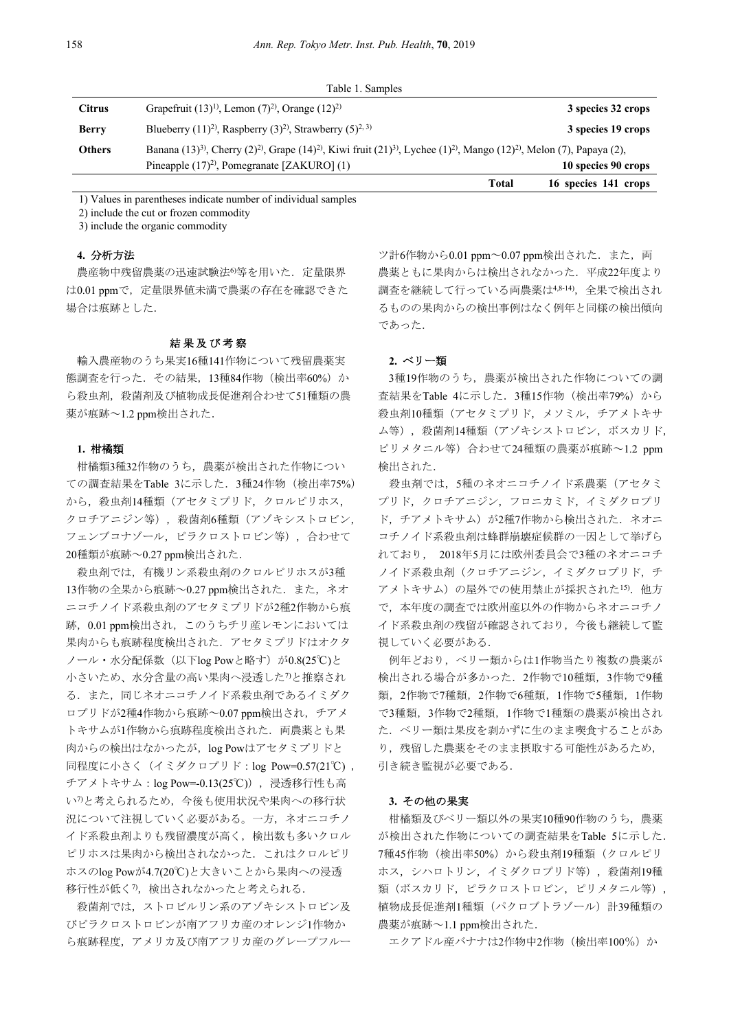|               | Table 1. Samples                                                                                                                                                                               |                      |
|---------------|------------------------------------------------------------------------------------------------------------------------------------------------------------------------------------------------|----------------------|
| <b>Citrus</b> | Grapefruit $(13)^{1}$ , Lemon $(7)^{2}$ , Orange $(12)^{2}$                                                                                                                                    | 3 species 32 crops   |
| <b>Berry</b>  | Blueberry $(11)^2$ , Raspberry $(3)^2$ , Strawberry $(5)^{2,3}$                                                                                                                                | 3 species 19 crops   |
| <b>Others</b> | Banana (13) <sup>3)</sup> , Cherry (2) <sup>2)</sup> , Grape (14) <sup>2</sup> ), Kiwi fruit (21) <sup>3</sup> ), Lychee (1) <sup>2</sup> ), Mango (12) <sup>2)</sup> , Melon (7), Papaya (2), |                      |
|               | Pineapple $(17)^2$ , Pomegranate [ZAKURO] $(1)$                                                                                                                                                | 10 species 90 crops  |
|               | Total                                                                                                                                                                                          | 16 species 141 crops |

1) Values in parentheses indicate number of individual samples

2) include the cut or frozen commodity

3) include the organic commodity

### **4.** 分析方法

農産物中残留農薬の迅速試験法6等を用いた. 定量限界 は0.01 ppmで、定量限界値未満で農薬の存在を確認できた 場合は痕跡とした.

#### 結果及び考察

 輸入農産物のうち果実16種141作物について残留農薬実 態調査を行った.その結果,13種84作物(検出率60%)か ら殺虫剤,殺菌剤及び植物成長促進剤合わせて51種類の農 薬が痕跡~1.2 ppm検出された.

### **1.** 柑橘類

柑橘類3種32作物のうち,農薬が検出された作物につい ての調査結果をTable 3に示した.3種24作物(検出率75%) から、殺虫剤14種類(アセタミプリド、クロルピリホス, クロチアニジン等),殺菌剤6種類(アゾキシストロビン, フェンブコナゾール,ピラクロストロビン等),合わせて 20種類が痕跡~0.27 ppm検出された.

殺虫剤では、有機リン系殺虫剤のクロルピリホスが3種 13作物の全果から痕跡~0.27 ppm検出された. また、ネオ ニコチノイド系殺虫剤のアセタミプリドが2種2作物から痕 跡,0.01 ppm検出され,このうちチリ産レモンにおいては 果肉からも痕跡程度検出された.アセタミプリドはオクタ ノール・水分配係数(以下log Powと略す)が0.8(25℃)と 小さいため、水分含量の高い果肉へ浸透した7)と推察され る.また,同じネオニコチノイド系殺虫剤であるイミダク ロプリドが2種4作物から痕跡~0.07 ppm検出され,チアメ トキサムが1作物から痕跡程度検出された. 両農薬とも果 肉からの検出はなかったが,log Powはアセタミプリドと 同程度に小さく(イミダクロプリド:log Pow=0.57(21℃) , チアメトキサム:log Pow=-0.13(25℃)),浸透移行性も高 い7)と考えられるため,今後も使用状況や果肉への移行状 況について注視していく必要がある。一方,ネオニコチノ イド系殺虫剤よりも残留濃度が高く,検出数も多いクロル ピリホスは果肉から検出されなかった.これはクロルピリ ホスのlog Powが4.7(20℃)と大きいことから果肉への浸透 移行性が低く7),検出されなかったと考えられる.

殺菌剤では,ストロビルリン系のアゾキシストロビン及 びピラクロストロビンが南アフリカ産のオレンジ1作物か ら痕跡程度,アメリカ及び南アフリカ産のグレープフルー

ツ計6作物から0.01 ppm~0.07 ppm検出された. また, 両 農薬ともに果肉からは検出されなかった.平成22年度より 調査を継続して行っている両農薬は4,8-14), 全果で検出され るものの果肉からの検出事例はなく例年と同様の検出傾向 であった.

### **2.** ベリー類

3種19作物のうち,農薬が検出された作物についての調 査結果をTable 4に示した. 3種15作物 (検出率79%) から 殺虫剤10種類(アセタミプリド,メソミル,チアメトキサ ム等),殺菌剤14種類(アゾキシストロビン,ボスカリド, ピリメタニル等)合わせて24種類の農薬が痕跡~1.2 ppm 検出された.

殺虫剤では、5種のネオニコチノイド系農薬(アセタミ プリド,クロチアニジン,フロニカミド,イミダクロプリ ド,チアメトキサム)が2種7作物から検出された. ネオニ コチノイド系殺虫剤は蜂群崩壊症候群の一因として挙げら れており, 2018年5月には欧州委員会で3種のネオニコチ ノイド系殺虫剤(クロチアニジン,イミダクロプリド,チ アメトキサム)の屋外での使用禁止が採択された15). 他方 で,本年度の調査では欧州産以外の作物からネオニコチノ イド系殺虫剤の残留が確認されており,今後も継続して監 視していく必要がある.

例年どおり,ベリー類からは1作物当たり複数の農薬が 検出される場合が多かった.2作物で10種類,3作物で9種 類,2作物で7種類,2作物で6種類,1作物で5種類,1作物 で3種類,3作物で2種類,1作物で1種類の農薬が検出され た.ベリー類は果皮を剥かずに生のまま喫食することがあ り、残留した農薬をそのまま摂取する可能性があるため, 引き続き監視が必要である.

#### **3.** その他の果実

柑橘類及びベリー類以外の果実10種90作物のうち,農薬 が検出された作物についての調査結果をTable 5に示した. 7種45作物(検出率50%)から殺虫剤19種類(クロルピリ ホス,シハロトリン,イミダクロプリド等),殺菌剤19種 類(ボスカリド,ピラクロストロビン,ピリメタニル等), 植物成長促進剤1種類(パクロブトラゾール)計39種類の 農薬が痕跡~1.1 ppm検出された.

エクアドル産バナナは2作物中2作物(検出率100%)か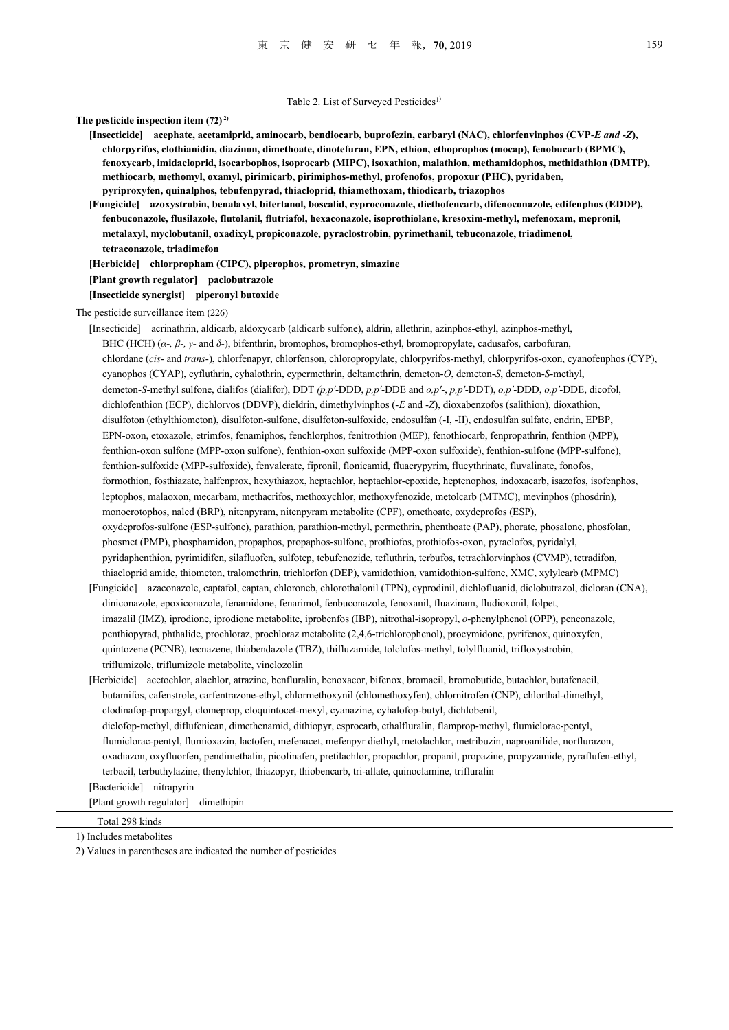**The pesticide inspection item (72) 2) [Insecticide] acephate, acetamiprid, aminocarb, bendiocarb, buprofezin, carbaryl (NAC), chlorfenvinphos (CVP-***E and -Z***), chlorpyrifos, clothianidin, diazinon, dimethoate, dinotefuran, EPN, ethion, ethoprophos (mocap), fenobucarb (BPMC), fenoxycarb, imidacloprid, isocarbophos, isoprocarb (MIPC), isoxathion, malathion, methamidophos, methidathion (DMTP), methiocarb, methomyl, oxamyl, pirimicarb, pirimiphos-methyl, profenofos, propoxur (PHC), pyridaben, pyriproxyfen, quinalphos, tebufenpyrad, thiacloprid, thiamethoxam, thiodicarb, triazophos [Fungicide] azoxystrobin, benalaxyl, bitertanol, boscalid, cyproconazole, diethofencarb, difenoconazole, edifenphos (EDDP), fenbuconazole, flusilazole, flutolanil, flutriafol, hexaconazole, isoprothiolane, kresoxim-methyl, mefenoxam, mepronil, metalaxyl, myclobutanil, oxadixyl, propiconazole, pyraclostrobin, pyrimethanil, tebuconazole, triadimenol, tetraconazole, triadimefon [Herbicide] chlorpropham (CIPC), piperophos, prometryn, simazine [Plant growth regulator] paclobutrazole [Insecticide synergist] piperonyl butoxide**  The pesticide surveillance item (226) [Insecticide] acrinathrin, aldicarb, aldoxycarb (aldicarb sulfone), aldrin, allethrin, azinphos-ethyl, azinphos-methyl, BHC (HCH) (*α-, β-, γ-* and *δ-*), bifenthrin, bromophos, bromophos-ethyl, bromopropylate, cadusafos, carbofuran, chlordane (*cis*- and *trans*-), chlorfenapyr, chlorfenson, chloropropylate, chlorpyrifos-methyl, chlorpyrifos-oxon, cyanofenphos (CYP), cyanophos (CYAP), cyfluthrin, cyhalothrin, cypermethrin, deltamethrin, demeton-*O*, demeton-*S*, demeton-*S*-methyl, demeton-*S*-methyl sulfone, dialifos (dialifor), DDT *(p,p'*-DDD, *p,p'*-DDE and *o,p'*-, *p,p'*-DDT), *o,p'*-DDD, *o,p'*-DDE, dicofol, dichlofenthion (ECP), dichlorvos (DDVP), dieldrin, dimethylvinphos (-*E* and -*Z*), dioxabenzofos (salithion), dioxathion, disulfoton (ethylthiometon), disulfoton-sulfone, disulfoton-sulfoxide, endosulfan (-I, -II), endosulfan sulfate, endrin, EPBP, EPN-oxon, etoxazole, etrimfos, fenamiphos, fenchlorphos, fenitrothion (MEP), fenothiocarb, fenpropathrin, fenthion (MPP), fenthion-oxon sulfone (MPP-oxon sulfone), fenthion-oxon sulfoxide (MPP-oxon sulfoxide), fenthion-sulfone (MPP-sulfone), fenthion-sulfoxide (MPP-sulfoxide), fenvalerate, fipronil, flonicamid, fluacrypyrim, flucythrinate, fluvalinate, fonofos, formothion, fosthiazate, halfenprox, hexythiazox, heptachlor, heptachlor-epoxide, heptenophos, indoxacarb, isazofos, isofenphos, leptophos, malaoxon, mecarbam, methacrifos, methoxychlor, methoxyfenozide, metolcarb (MTMC), mevinphos (phosdrin), monocrotophos, naled (BRP), nitenpyram, nitenpyram metabolite (CPF), omethoate, oxydeprofos (ESP), oxydeprofos-sulfone (ESP-sulfone), parathion, parathion-methyl, permethrin, phenthoate (PAP), phorate, phosalone, phosfolan, phosmet (PMP), phosphamidon, propaphos, propaphos-sulfone, prothiofos, prothiofos-oxon, pyraclofos, pyridalyl, pyridaphenthion, pyrimidifen, silafluofen, sulfotep, tebufenozide, tefluthrin, terbufos, tetrachlorvinphos (CVMP), tetradifon, thiacloprid amide, thiometon, tralomethrin, trichlorfon (DEP), vamidothion, vamidothion-sulfone, XMC, xylylcarb (MPMC) [Fungicide] azaconazole, captafol, captan, chloroneb, chlorothalonil (TPN), cyprodinil, dichlofluanid, diclobutrazol, dicloran (CNA), diniconazole, epoxiconazole, fenamidone, fenarimol, fenbuconazole, fenoxanil, fluazinam, fludioxonil, folpet,

- imazalil (IMZ), iprodione, iprodione metabolite, iprobenfos (IBP), nitrothal-isopropyl, *o*-phenylphenol (OPP), penconazole, penthiopyrad, phthalide, prochloraz, prochloraz metabolite (2,4,6-trichlorophenol), procymidone, pyrifenox, quinoxyfen, quintozene (PCNB), tecnazene, thiabendazole (TBZ), thifluzamide, tolclofos-methyl, tolylfluanid, trifloxystrobin, triflumizole, triflumizole metabolite, vinclozolin
- [Herbicide] acetochlor, alachlor, atrazine, benfluralin, benoxacor, bifenox, bromacil, bromobutide, butachlor, butafenacil, butamifos, cafenstrole, carfentrazone-ethyl, chlormethoxynil (chlomethoxyfen), chlornitrofen (CNP), chlorthal-dimethyl, clodinafop-propargyl, clomeprop, cloquintocet-mexyl, cyanazine, cyhalofop-butyl, dichlobenil, diclofop-methyl, diflufenican, dimethenamid, dithiopyr, esprocarb, ethalfluralin, flamprop-methyl, flumiclorac-pentyl, flumiclorac-pentyl, flumioxazin, lactofen, mefenacet, mefenpyr diethyl, metolachlor, metribuzin, naproanilide, norflurazon, oxadiazon, oxyfluorfen, pendimethalin, picolinafen, pretilachlor, propachlor, propanil, propazine, propyzamide, pyraflufen-ethyl, terbacil, terbuthylazine, thenylchlor, thiazopyr, thiobencarb, tri-allate, quinoclamine, trifluralin [Bactericide] nitrapyrin

[Plant growth regulator] dimethipin

 Total 298 kinds 1) Includes metabolites

2) Values in parentheses are indicated the number of pesticides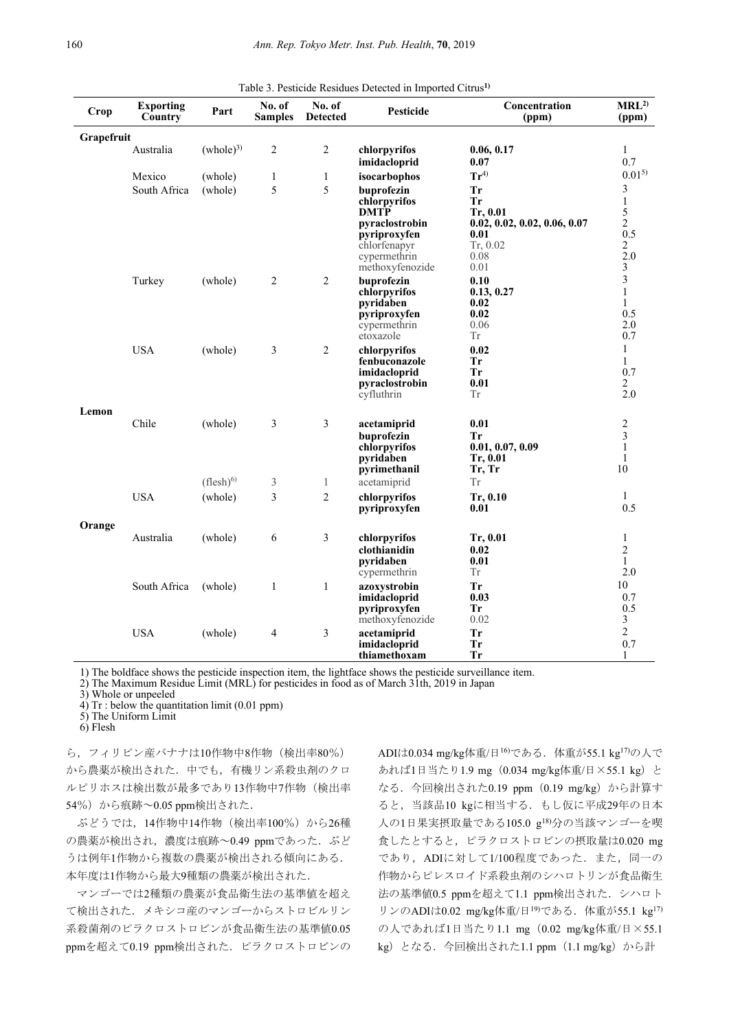| Crop       | <b>Exporting</b><br>Country | Part                 | No. of<br><b>Samples</b> | No. of<br><b>Detected</b> | Pesticide                                                                                                                      | Concentration<br>(ppm)                                                                          | MRL <sup>2</sup><br>(ppm)                                                    |
|------------|-----------------------------|----------------------|--------------------------|---------------------------|--------------------------------------------------------------------------------------------------------------------------------|-------------------------------------------------------------------------------------------------|------------------------------------------------------------------------------|
| Grapefruit |                             |                      |                          |                           |                                                                                                                                |                                                                                                 |                                                                              |
|            | Australia                   | (whole) <sup>3</sup> | $\overline{2}$           | $\overline{2}$            | chlorpyrifos<br>imidacloprid                                                                                                   | 0.06, 0.17<br>0.07                                                                              | $\mathbf{1}$<br>0.7                                                          |
|            | Mexico                      | (whole)              | 1                        | $\mathbf{1}$              | isocarbophos                                                                                                                   | $Tr^{4)}$                                                                                       | $0.01^{5}$                                                                   |
|            | South Africa                | (whole)              | 5                        | 5                         | buprofezin<br>chlorpyrifos<br><b>DMTP</b><br>pyraclostrobin<br>pyriproxyfen<br>chlorfenapyr<br>cypermethrin<br>methoxyfenozide | <b>Tr</b><br>Tr<br>Tr, 0.01<br>0.02, 0.02, 0.02, 0.06, 0.07<br>0.01<br>Tr, 0.02<br>0.08<br>0.01 | 3<br>$\mathbf{1}$<br>5<br>$\overline{2}$<br>0.5<br>2<br>2.0<br>3             |
|            | Turkey                      | (whole)              | $\overline{2}$           | 2                         | buprofezin<br>chlorpyrifos<br>pyridaben<br>pyriproxyfen<br>cypermethrin<br>etoxazole                                           | 0.10<br>0.13, 0.27<br>0.02<br>0.02<br>0.06<br><b>Tr</b>                                         | $\overline{\mathbf{3}}$<br>$\mathbf{1}$<br>$\mathbf{1}$<br>0.5<br>2.0<br>0.7 |
|            | <b>USA</b>                  | (whole)              | 3                        | 2                         | chlorpyrifos<br>fenbuconazole<br>imidacloprid<br>pyraclostrobin<br>cyfluthrin                                                  | 0.02<br>Tr<br>Tr<br>0.01<br>Tr                                                                  | $\mathbf{1}$<br>$\mathbf{1}$<br>0.7<br>$\overline{2}$<br>2.0                 |
| Lemon      | Chile                       | (whole)              | 3                        | 3                         | acetamiprid<br>buprofezin<br>chlorpyrifos<br>pyridaben<br>pyrimethanil                                                         | 0.01<br><b>Tr</b><br>0.01, 0.07, 0.09<br>Tr, 0.01<br>Tr, Tr                                     | 2<br>3<br>$\mathbf{1}$<br>$\mathbf{1}$<br>10                                 |
|            |                             | $(flesh)^{6}$        | 3                        | $\mathbf{1}$              | acetamiprid                                                                                                                    | Tr                                                                                              |                                                                              |
|            | <b>USA</b>                  | (whole)              | 3                        | $\overline{c}$            | chlorpyrifos<br>pyriproxyfen                                                                                                   | Tr, 0.10<br>0.01                                                                                | $\mathbf{1}$<br>0.5                                                          |
| Orange     | Australia                   | (whole)              | 6                        | 3                         | chlorpyrifos<br>clothianidin<br>pyridaben<br>cypermethrin                                                                      | Tr, 0.01<br>0.02<br>0.01<br>Tr                                                                  | $\mathbf{1}$<br>$\overline{2}$<br>$\mathbf{1}$<br>2.0                        |
|            | South Africa                | (whole)              | $\mathbf{1}$             | $\mathbf{1}$              | azoxystrobin<br>imidacloprid<br>pyriproxyfen<br>methoxyfenozide                                                                | <b>Tr</b><br>0.03<br><b>Tr</b><br>0.02                                                          | 10<br>0.7<br>0.5<br>3                                                        |
|            | <b>USA</b>                  | (whole)              | 4                        | 3                         | acetamiprid<br>imidacloprid<br>thiamethoxam                                                                                    | Tr<br><b>Tr</b><br><b>Tr</b>                                                                    | $\overline{2}$<br>0.7<br>1                                                   |

Table 3. Pesticide Residues Detected in Imported Citrus**1)**

1) The boldface shows the pesticide inspection item, the lightface shows the pesticide surveillance item. 2) The Maximum Residue Limit (MRL) for pesticides in food as of March 31th, 2019 in Japan

3) Whole or unpeeled 4) Tr : below the quantitation limit (0.01 ppm)

5) The Uniform Limit

6) Flesh

ら,フィリピン産バナナは10作物中8作物(検出率80%) から農薬が検出された.中でも,有機リン系殺虫剤のクロ ルピリホスは検出数が最多であり13作物中7作物(検出率 54%) から痕跡~0.05 ppm検出された.

ぶどうでは,14作物中14作物(検出率100%)から26種 の農薬が検出され,濃度は痕跡~0.49 ppmであった. ぶど うは例年1作物から複数の農薬が検出される傾向にある. 本年度は1作物から最大9種類の農薬が検出された.

マンゴーでは2種類の農薬が食品衛生法の基準値を超え て検出された.メキシコ産のマンゴーからストロビルリン 系殺菌剤のピラクロストロビンが食品衛生法の基準値0.05 ppmを超えて0.19 ppm検出された.ピラクロストロビンの ADIは0.034 mg/kg体重/日<sup>16</sup>)である. 体重が55.1 kg<sup>17</sup>の人で あれば1日当たり1.9 mg(0.034 mg/kg体重/日×55.1 kg)と なる.今回検出された0.19 ppm(0.19 mg/kg)から計算す ると,当該品10 kgに相当する.もし仮に平成29年の日本 人の1日果実摂取量である105.0 g18)分の当該マンゴーを喫 食したとすると,ピラクロストロビンの摂取量は0.020 mg であり, ADIに対して1/100程度であった. また,同一の 作物からピレスロイド系殺虫剤のシハロトリンが食品衛生 法の基準値0.5 ppmを超えて1.1 ppm検出された.シハロト リンのADIは0.02 mg/kg体重/日<sup>19</sup>)である. 体重が55.1 kg<sup>17)</sup> の人であれば1日当たり1.1 mg (0.02 mg/kg体重/日×55.1 kg)となる.今回検出された1.1 ppm(1.1 mg/kg)から計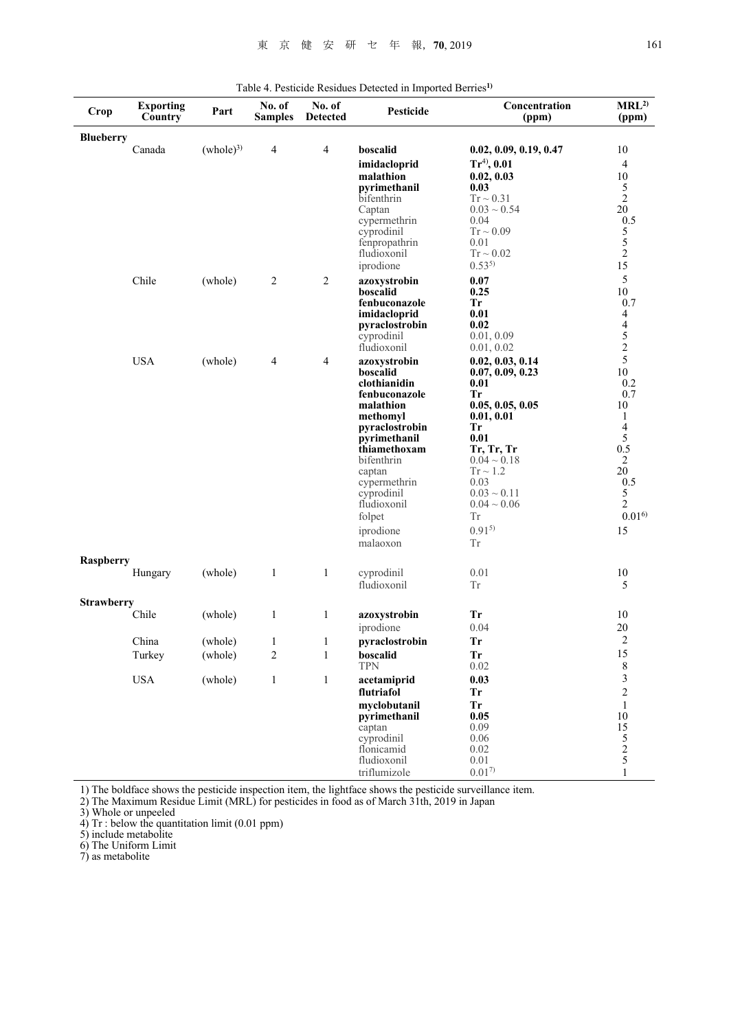| Crop              | <b>Exporting</b><br>Country | Part                 | No. of<br><b>Samples</b> | No. of<br><b>Detected</b> | Pesticide                      | Concentration<br>(ppm)         | MRL <sup>2</sup><br>(ppm) |
|-------------------|-----------------------------|----------------------|--------------------------|---------------------------|--------------------------------|--------------------------------|---------------------------|
| <b>Blueberry</b>  |                             |                      |                          |                           |                                |                                |                           |
|                   | Canada                      | (whole) <sup>3</sup> | 4                        | $\overline{4}$            | boscalid                       | 0.02, 0.09, 0.19, 0.47         | 10                        |
|                   |                             |                      |                          |                           | imidacloprid                   | $Tr^{4)}$ , 0.01               | $\overline{4}$            |
|                   |                             |                      |                          |                           | malathion                      | 0.02, 0.03                     | 10                        |
|                   |                             |                      |                          |                           | pyrimethanil                   | 0.03                           | 5                         |
|                   |                             |                      |                          |                           | bifenthrin                     | $Tr \sim 0.31$                 | $\overline{2}$            |
|                   |                             |                      |                          |                           | Captan<br>cypermethrin         | $0.03 \sim 0.54$<br>0.04       | 20<br>0.5                 |
|                   |                             |                      |                          |                           | cyprodinil                     | $Tr \sim 0.09$                 |                           |
|                   |                             |                      |                          |                           | fenpropathrin                  | 0.01                           | $\frac{5}{2}$             |
|                   |                             |                      |                          |                           | fludioxonil                    | $Tr \sim 0.02$                 |                           |
|                   |                             |                      |                          |                           | iprodione                      | $0.53^{5}$                     | 15                        |
|                   | Chile                       | (whole)              | 2                        | 2                         | azoxystrobin                   | 0.07                           | 5                         |
|                   |                             |                      |                          |                           | boscalid                       | 0.25                           | 10                        |
|                   |                             |                      |                          |                           | fenbuconazole                  | <b>Tr</b>                      | 0.7                       |
|                   |                             |                      |                          |                           | imidacloprid<br>pyraclostrobin | 0.01<br>0.02                   | $\overline{4}$<br>4       |
|                   |                             |                      |                          |                           | cyprodinil                     | 0.01, 0.09                     |                           |
|                   |                             |                      |                          |                           | fludioxonil                    | 0.01, 0.02                     | $\frac{5}{2}$             |
|                   | <b>USA</b>                  | (whole)              | 4                        | 4                         | azoxystrobin                   | 0.02, 0.03, 0.14               | 5                         |
|                   |                             |                      |                          |                           | boscalid                       | 0.07, 0.09, 0.23               | 10                        |
|                   |                             |                      |                          |                           | clothianidin                   | 0.01                           | 0.2                       |
|                   |                             |                      |                          |                           | fenbuconazole<br>malathion     | <b>Tr</b><br>0.05, 0.05, 0.05  | 0.7<br>10                 |
|                   |                             |                      |                          |                           | methomyl                       | 0.01, 0.01                     | 1                         |
|                   |                             |                      |                          |                           | pyraclostrobin                 | Tr                             | 4                         |
|                   |                             |                      |                          |                           | pyrimethanil                   | 0.01                           | 5                         |
|                   |                             |                      |                          |                           | thiamethoxam<br>bifenthrin     | Tr, Tr, Tr<br>$0.04 \sim 0.18$ | 0.5<br>2                  |
|                   |                             |                      |                          |                           | captan                         | $Tr \sim 1.2$                  | 20                        |
|                   |                             |                      |                          |                           | cypermethrin                   | 0.03                           | 0.5                       |
|                   |                             |                      |                          |                           | cyprodinil                     | $0.03 \sim 0.11$               | 5                         |
|                   |                             |                      |                          |                           | fludioxonil                    | $0.04 \sim 0.06$               | 2                         |
|                   |                             |                      |                          |                           | folpet                         | <b>Tr</b>                      | $0.01^{6}$                |
|                   |                             |                      |                          |                           | iprodione                      | $0.91^{5}$                     | 15                        |
|                   |                             |                      |                          |                           | malaoxon                       | <b>Tr</b>                      |                           |
| Raspberry         |                             |                      |                          |                           |                                |                                |                           |
|                   | Hungary                     | (whole)              | $\mathbf{1}$             | $\mathbf{1}$              | cyprodinil                     | 0.01                           | 10                        |
|                   |                             |                      |                          |                           | fludioxonil                    | <b>Tr</b>                      | 5                         |
| <b>Strawberry</b> |                             |                      |                          |                           |                                |                                |                           |
|                   | Chile                       | (whole)              | $\mathbf{1}$             | $\mathbf{1}$              | azoxystrobin                   | <b>Tr</b>                      | 10                        |
|                   |                             |                      |                          |                           | iprodione                      | 0.04                           | 20                        |
|                   | China                       | (whole)              | $\mathbf{1}$             | $\mathbf{1}$              | pyraclostrobin                 | <b>Tr</b>                      | $\overline{2}$            |
|                   | Turkey                      | (whole)              | 2                        | $\mathbf{1}$              | boscalid                       | <b>Tr</b>                      | 15                        |
|                   | <b>USA</b>                  | (whole)              |                          |                           | <b>TPN</b>                     | 0.02                           | 8<br>3                    |
|                   |                             |                      | $\mathbf{1}$             | $\,1$                     | acetamiprid<br>flutriafol      | 0.03<br><b>Tr</b>              | $\overline{c}$            |
|                   |                             |                      |                          |                           | myclobutanil                   | <b>Tr</b>                      | $\mathbf{1}$              |
|                   |                             |                      |                          |                           | pyrimethanil                   | 0.05                           | 10                        |
|                   |                             |                      |                          |                           | captan                         | 0.09                           | 15                        |
|                   |                             |                      |                          |                           | cyprodinil                     | 0.06                           | $\frac{5}{2}$             |
|                   |                             |                      |                          |                           | flonicamid<br>fludioxonil      | 0.02<br>0.01                   |                           |
|                   |                             |                      |                          |                           | triflumizole                   | $0.01^{7}$                     | 5<br>1                    |
|                   |                             |                      |                          |                           |                                |                                |                           |

Table 4. Pesticide Residues Detected in Imported Berries**1)**

1) The boldface shows the pesticide inspection item, the lightface shows the pesticide surveillance item.

2) The Maximum Residue Limit (MRL) for pesticides in food as of March 31th, 2019 in Japan

3) Whole or unpeeled

4) Tr : below the quantitation limit (0.01 ppm)

5) include metabolite

6) The Uniform Limit

7) as metabolite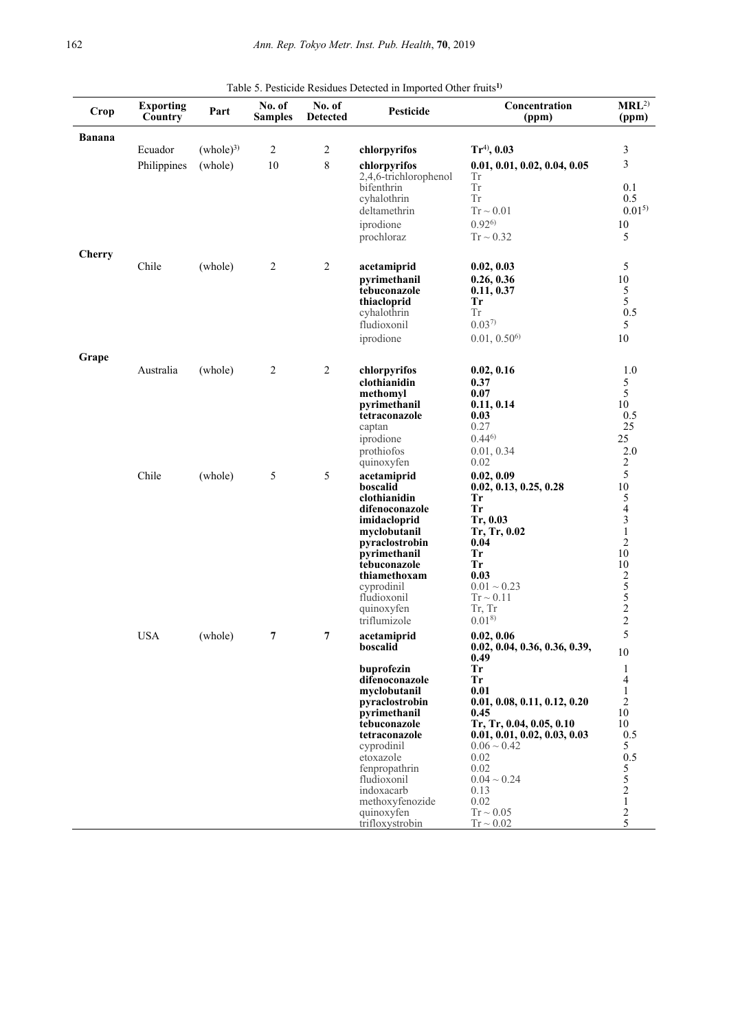| Crop          | <b>Exporting</b><br>Country | Part                 | No. of<br><b>Samples</b> | No. of<br><b>Detected</b> | Pesticide                           | Concentration<br>(ppm)                | MRL <sup>2</sup><br>(ppm) |
|---------------|-----------------------------|----------------------|--------------------------|---------------------------|-------------------------------------|---------------------------------------|---------------------------|
| <b>Banana</b> |                             |                      |                          |                           |                                     |                                       |                           |
|               | Ecuador                     | (whole) <sup>3</sup> | $\sqrt{2}$               | $\overline{c}$            | chlorpyrifos                        | $Tr^{4)}$ , 0.03                      | 3                         |
|               | Philippines                 | (whole)              | 10                       | $\,8\,$                   | chlorpyrifos                        | 0.01, 0.01, 0.02, 0.04, 0.05          | 3                         |
|               |                             |                      |                          |                           | 2,4,6-trichlorophenol<br>bifenthrin | Тr<br>${\rm Tr}$                      | 0.1                       |
|               |                             |                      |                          |                           | cyhalothrin                         | ${\rm Tr}$                            | 0.5                       |
|               |                             |                      |                          |                           | deltamethrin                        | $Tr \sim 0.01$                        | $0.01^{5}$                |
|               |                             |                      |                          |                           | iprodione                           | $0.92^{6}$                            | $10\,$                    |
|               |                             |                      |                          |                           | prochloraz                          | $Tr \sim 0.32$                        | 5                         |
| <b>Cherry</b> |                             |                      |                          |                           |                                     |                                       |                           |
|               | Chile                       | (whole)              | $\sqrt{2}$               | $\overline{2}$            | acetamiprid                         | 0.02, 0.03                            | 5                         |
|               |                             |                      |                          |                           | pyrimethanil                        | 0.26, 0.36                            | $10\,$                    |
|               |                             |                      |                          |                           | tebuconazole                        | 0.11, 0.37                            | 5<br>5                    |
|               |                             |                      |                          |                           | thiacloprid<br>cyhalothrin          | Tr<br><b>Tr</b>                       | 0.5                       |
|               |                             |                      |                          |                           | fludioxonil                         | $0.03^{7}$                            | 5                         |
|               |                             |                      |                          |                           | iprodione                           | 0.01, 0.50 <sup>6</sup>               | 10                        |
| Grape         |                             |                      |                          |                           |                                     |                                       |                           |
|               | Australia                   | (whole)              | $\sqrt{2}$               | $\overline{2}$            | chlorpyrifos                        | 0.02, 0.16                            | 1.0                       |
|               |                             |                      |                          |                           | clothianidin                        | 0.37                                  | 5                         |
|               |                             |                      |                          |                           | methomyl                            | 0.07                                  | $\overline{5}$            |
|               |                             |                      |                          |                           | pyrimethanil                        | 0.11, 0.14                            | 10                        |
|               |                             |                      |                          |                           | tetraconazole                       | 0.03<br>0.27                          | 0.5<br>25                 |
|               |                             |                      |                          |                           | captan<br>iprodione                 | $0.44^{6}$                            | 25                        |
|               |                             |                      |                          |                           | prothiofos                          | 0.01, 0.34                            | 2.0                       |
|               |                             |                      |                          |                           | quinoxyfen                          | 0.02                                  | $\sqrt{2}$                |
|               | Chile                       | (whole)              | $\sqrt{5}$               | 5                         | acetamiprid                         | 0.02, 0.09                            | 5                         |
|               |                             |                      |                          |                           | boscalid                            | 0.02, 0.13, 0.25, 0.28                | $10\,$                    |
|               |                             |                      |                          |                           | clothianidin                        | Tr                                    | $\frac{5}{4}$             |
|               |                             |                      |                          |                           | difenoconazole<br>imidacloprid      | <b>Tr</b><br>Tr, 0.03                 | $\overline{\mathbf{3}}$   |
|               |                             |                      |                          |                           | myclobutanil                        | Tr, Tr, 0.02                          | $\,1$                     |
|               |                             |                      |                          |                           | pyraclostrobin                      | 0.04                                  | $\overline{c}$            |
|               |                             |                      |                          |                           | pyrimethanil                        | <b>Tr</b>                             | 10                        |
|               |                             |                      |                          |                           | tebuconazole<br>thiamethoxam        | <b>Tr</b><br>0.03                     | 10                        |
|               |                             |                      |                          |                           | cyprodinil                          | $0.01 \sim 0.23$                      |                           |
|               |                             |                      |                          |                           | fludioxonil                         | $Tr \sim 0.11$                        |                           |
|               |                             |                      |                          |                           | quinoxyfen                          | Tr, Tr                                | $2552$<br>$22$            |
|               |                             |                      |                          |                           | triflumizole                        | $0.01^{8}$                            |                           |
|               | <b>USA</b>                  | (whole)              | 7                        | $\overline{7}$            | acetamiprid                         | 0.02, 0.06                            | 5                         |
|               |                             |                      |                          |                           | boscalid                            | 0.02, 0.04, 0.36, 0.36, 0.39,<br>0.49 | 10                        |
|               |                             |                      |                          |                           | buprofezin                          | <b>Tr</b>                             | $\mathbf{1}$              |
|               |                             |                      |                          |                           | difenoconazole                      | <b>Tr</b>                             | 4                         |
|               |                             |                      |                          |                           | myclobutanil                        | 0.01                                  | $\mathbf{1}$              |
|               |                             |                      |                          |                           | pyraclostrobin<br>pyrimethanil      | 0.01, 0.08, 0.11, 0.12, 0.20<br>0.45  | $\overline{2}$<br>10      |
|               |                             |                      |                          |                           | tebuconazole                        | Tr, Tr, 0.04, 0.05, 0.10              | 10                        |
|               |                             |                      |                          |                           | tetraconazole                       | 0.01, 0.01, 0.02, 0.03, 0.03          | 0.5                       |
|               |                             |                      |                          |                           | cyprodinil                          | $0.06 \sim 0.42$                      | 5                         |
|               |                             |                      |                          |                           | etoxazole<br>fenpropathrin          | 0.02<br>0.02                          | 0.5<br>5                  |
|               |                             |                      |                          |                           | fludioxonil                         | $0.04 \sim 0.24$                      | 5                         |
|               |                             |                      |                          |                           | indoxacarb                          | 0.13                                  | $\overline{c}$            |
|               |                             |                      |                          |                           | methoxyfenozide                     | 0.02                                  | $\mathbf{1}$              |
|               |                             |                      |                          |                           | quinoxyfen                          | $Tr \sim 0.05$                        | 2                         |
|               |                             |                      |                          |                           | trifloxystrobin                     | $Tr \sim 0.02$                        | 5                         |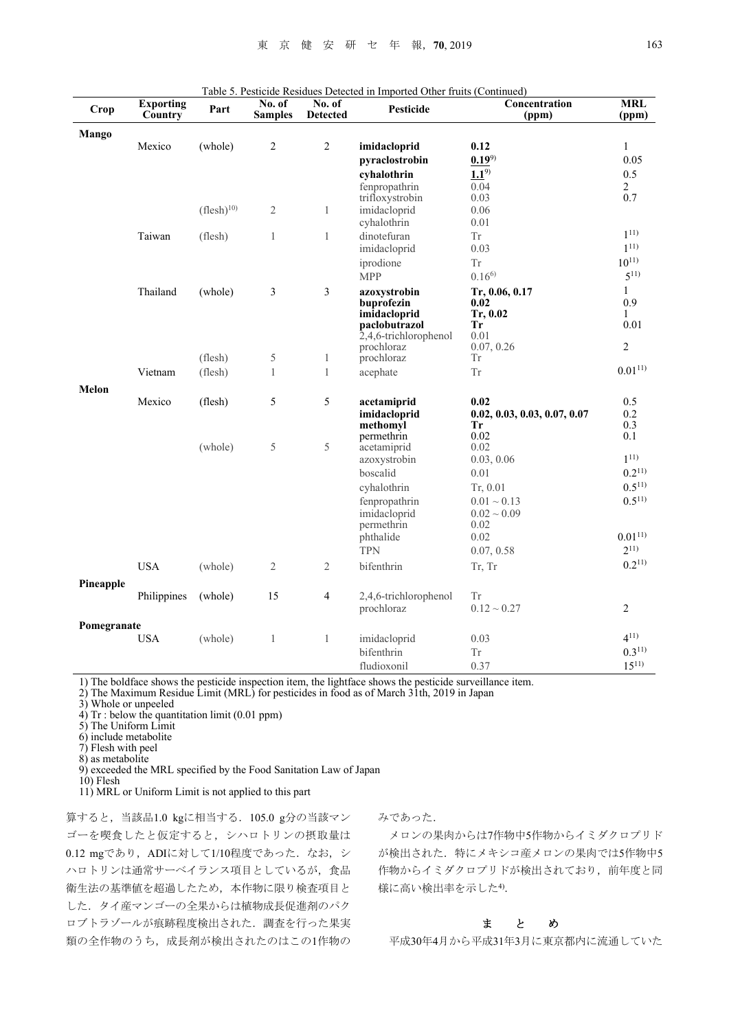| Crop        | <b>Exporting</b><br>Country | Part           | No. of<br><b>Samples</b> | No. of<br><b>Detected</b> | Pesticide                              | Concentration<br>(ppm)             | <b>MRL</b><br>(ppm) |
|-------------|-----------------------------|----------------|--------------------------|---------------------------|----------------------------------------|------------------------------------|---------------------|
| Mango       |                             |                |                          |                           |                                        |                                    |                     |
|             | Mexico                      | (whole)        | $\overline{2}$           | $\overline{c}$            | imidacloprid                           | 0.12                               | $\mathbf{1}$        |
|             |                             |                |                          |                           | pyraclostrobin                         | $0.19^{9}$                         | 0.05                |
|             |                             |                |                          |                           | cyhalothrin                            | $1.1^{9}$                          | 0.5                 |
|             |                             |                |                          |                           | fenpropathrin                          | 0.04                               | $\overline{2}$      |
|             |                             | $(flesh)^{10}$ |                          |                           | trifloxystrobin                        | 0.03<br>0.06                       | 0.7                 |
|             |                             |                | $\overline{2}$           | $\mathbf{1}$              | imidacloprid<br>cyhalothrin            | 0.01                               |                     |
|             | Taiwan                      | (flesh)        | $\mathbf{1}$             | $\mathbf{1}$              | dinotefuran                            | <b>Tr</b>                          | $1^{11}$            |
|             |                             |                |                          |                           | imidacloprid                           | 0.03                               | $1^{11}$            |
|             |                             |                |                          |                           | iprodione                              | ${\rm Tr}$                         | $10^{11}$           |
|             |                             |                |                          |                           | <b>MPP</b>                             | $0.16^{6}$                         | $5^{11}$            |
|             | Thailand                    | (whole)        | 3                        | 3                         | azoxystrobin                           | Tr, 0.06, 0.17                     | $\mathbf{1}$        |
|             |                             |                |                          |                           | buprofezin                             | 0.02                               | 0.9                 |
|             |                             |                |                          |                           | imidacloprid                           | Tr, 0.02                           | $\mathbf{1}$        |
|             |                             |                |                          |                           | paclobutrazol<br>2,4,6-trichlorophenol | <b>Tr</b><br>0.01                  | 0.01                |
|             |                             |                |                          |                           | prochloraz                             | 0.07, 0.26                         | $\mathfrak{2}$      |
|             |                             | (flesh)        | 5                        | 1                         | prochloraz                             | Tr                                 |                     |
|             | Vietnam                     | (flesh)        | $\mathbf{1}$             | $\mathbf{1}$              | acephate                               | <b>Tr</b>                          | $0.01^{11}$         |
| Melon       |                             |                |                          |                           |                                        |                                    |                     |
|             | Mexico                      | (flesh)        | 5                        | 5                         | acetamiprid                            | 0.02                               | 0.5<br>0.2          |
|             |                             |                |                          |                           | imidacloprid<br>methomyl               | 0.02, 0.03, 0.03, 0.07, 0.07<br>Tr | 0.3                 |
|             |                             |                |                          |                           | permethrin                             | 0.02                               | 0.1                 |
|             |                             | (whole)        | 5                        | 5                         | acetamiprid                            | 0.02                               |                     |
|             |                             |                |                          |                           | azoxystrobin                           | 0.03, 0.06                         | $1^{11}$            |
|             |                             |                |                          |                           | boscalid                               | 0.01                               | $0.2^{11}$          |
|             |                             |                |                          |                           | cyhalothrin                            | Tr, 0.01                           | $0.5^{11}$          |
|             |                             |                |                          |                           | fenpropathrin                          | $0.01 \sim 0.13$                   | $0.5^{11}$          |
|             |                             |                |                          |                           | imidacloprid<br>permethrin             | $0.02 \sim 0.09$<br>0.02           |                     |
|             |                             |                |                          |                           | phthalide                              | 0.02                               | $0.01^{11}$         |
|             |                             |                |                          |                           | <b>TPN</b>                             | 0.07, 0.58                         | $2^{11}$            |
|             | <b>USA</b>                  | (whole)        | $\overline{2}$           | $\mathfrak{2}$            | bifenthrin                             | Tr, Tr                             | $0.2^{11}$          |
| Pineapple   |                             |                |                          |                           |                                        |                                    |                     |
|             | Philippines                 | (whole)        | 15                       | $\overline{4}$            | 2,4,6-trichlorophenol                  | Tr                                 |                     |
|             |                             |                |                          |                           | prochloraz                             | $0.12 \sim 0.27$                   | $\overline{2}$      |
| Pomegranate | <b>USA</b>                  | (whole)        | $\mathbf{1}$             | $\mathbf{1}$              |                                        | 0.03                               | $4^{11}$            |
|             |                             |                |                          |                           | imidacloprid<br>bifenthrin             | Tr                                 | $0.3^{11}$          |
|             |                             |                |                          |                           | fludioxonil                            | 0.37                               | $15^{11}$           |
|             |                             |                |                          |                           |                                        |                                    |                     |

1) The boldface shows the pesticide inspection item, the lightface shows the pesticide surveillance item.

2) The Maximum Residue Limit (MRL) for pesticides in food as of March 31th, 2019 in Japan

3) Whole or unpeeled

4) Tr : below the quantitation limit (0.01 ppm)

5) The Uniform Limit

- 6) include metabolite
- 7) Flesh with peel
- 8) as metabolite

9) exceeded the MRL specified by the Food Sanitation Law of Japan

10) Flesh

11) MRL or Uniform Limit is not applied to this part

算すると,当該品1.0 kgに相当する.105.0 g分の当該マン ゴーを喫食したと仮定すると,シハロトリンの摂取量は 0.12 mgであり, ADIに対して1/10程度であった. なお, シ ハロトリンは通常サーベイランス項目としているが,食品 衛生法の基準値を超過したため,本作物に限り検査項目と した.タイ産マンゴーの全果からは植物成長促進剤のパク ロブトラゾールが痕跡程度検出された.調査を行った果実 類の全作物のうち、成長剤が検出されたのはこの1作物の みであった.

メロンの果肉からは7作物中5作物からイミダクロプリド が検出された. 特にメキシコ産メロンの果肉では5作物中5 作物からイミダクロプリドが検出されており,前年度と同 様に高い検出率を示した4).

### まとめ

平成30年4月から平成31年3月に東京都内に流通していた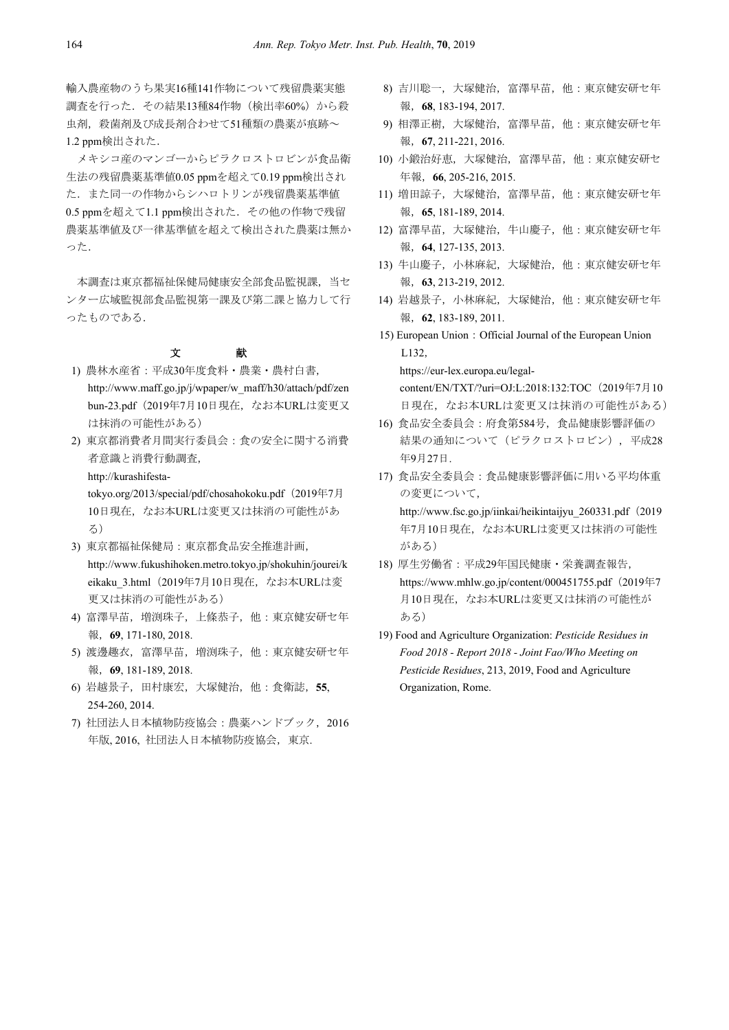輸入農産物のうち果実16種141作物について残留農薬実態 調査を行った.その結果13種84作物(検出率60%)から殺 虫剤、殺菌剤及び成長剤合わせて51種類の農薬が痕跡~ 1.2 ppm検出された.

メキシコ産のマンゴーからピラクロストロビンが食品衛 生法の残留農薬基準値0.05 ppmを超えて0.19 ppm検出され た.また同一の作物からシハロトリンが残留農薬基準値 0.5 ppmを超えて1.1 ppm検出された.その他の作物で残留 農薬基準値及び一律基準値を超えて検出された農薬は無か った.

本調査は東京都福祉保健局健康安全部食品監視課、当セ ンター広域監視部食品監視第一課及び第二課と協力して行 ったものである.

## 文 献

- 1) 農林水産省:平成30年度食料・農業・農村白書, http://www.maff.go.jp/j/wpaper/w\_maff/h30/attach/pdf/zen bun-23.pdf(2019年7月10日現在,なお本URLは変更又 は抹消の可能性がある)
- 2) 東京都消費者月間実行委員会:食の安全に関する消費 者意識と消費行動調査, http://kurashifesta-

tokyo.org/2013/special/pdf/chosahokoku.pdf (2019年7月 10日現在,なお本URLは変更又は抹消の可能性があ る)

- 3) 東京都福祉保健局:東京都食品安全推進計画, http://www.fukushihoken.metro.tokyo.jp/shokuhin/jourei/k eikaku\_3.html(2019年7月10日現在,なお本URLは変 更又は抹消の可能性がある)
- 4) 富澤早苗,増渕珠子,上條恭子,他:東京健安研セ年 報,**69**, 171-180, 2018.
- 5) 渡邊趣衣,富澤早苗,増渕珠子,他:東京健安研セ年 報,**69**, 181-189, 2018.
- 6) 岩越景子,田村康宏,大塚健治,他:食衛誌,**55**, 254-260, 2014.
- 7) 社団法人日本植物防疫協会:農薬ハンドブック,2016 年版, 2016, 社団法人日本植物防疫協会,東京.
- 8) 吉川聡一,大塚健治,富澤早苗,他:東京健安研セ年 報,**68**, 183-194, 2017.
- 9) 相澤正樹, 大塚健治, 富澤早苗, 他:東京健安研セ年 報,**67**, 211-221, 2016.
- 10) 小鍛治好恵,大塚健治,富澤早苗,他:東京健安研セ 年報,**66**, 205-216, 2015.
- 11) 増田諒子, 大塚健治, 富澤早苗, 他: 東京健安研セ年 報,**65**, 181-189, 2014.
- 12) 富澤早苗,大塚健治,牛山慶子,他:東京健安研セ年 報,**64**, 127-135, 2013.
- 13) 牛山慶子, 小林麻紀, 大塚健治, 他:東京健安研セ年 報,**63**, 213-219, 2012.
- 14) 岩越景子,小林麻紀,大塚健治,他:東京健安研セ年 報,**62**, 183-189, 2011.
- 15) European Union:Official Journal of the European Union L132,

https://eur-lex.europa.eu/legalcontent/EN/TXT/?uri=OJ:L:2018:132:TOC (2019年7月10 日現在,なお本URLは変更又は抹消の可能性がある)

- 16) 食品安全委員会:府食第584号,食品健康影響評価の 結果の通知について(ピラクロストロビン), 平成28 年9月27日.
- 17) 食品安全委員会:食品健康影響評価に用いる平均体重 の変更について, http://www.fsc.go.jp/iinkai/heikintaijyu\_260331.pdf(2019 年7月10日現在,なお本URLは変更又は抹消の可能性 がある)
- 18) 厚生労働省:平成29年国民健康・栄養調査報告, https://www.mhlw.go.jp/content/000451755.pdf (2019年7 月10日現在,なお本URLは変更又は抹消の可能性が ある)
- 19) Food and Agriculture Organization: *Pesticide Residues in Food 2018 - Report 2018 - Joint Fao/Who Meeting on Pesticide Residues*, 213, 2019, Food and Agriculture Organization, Rome.